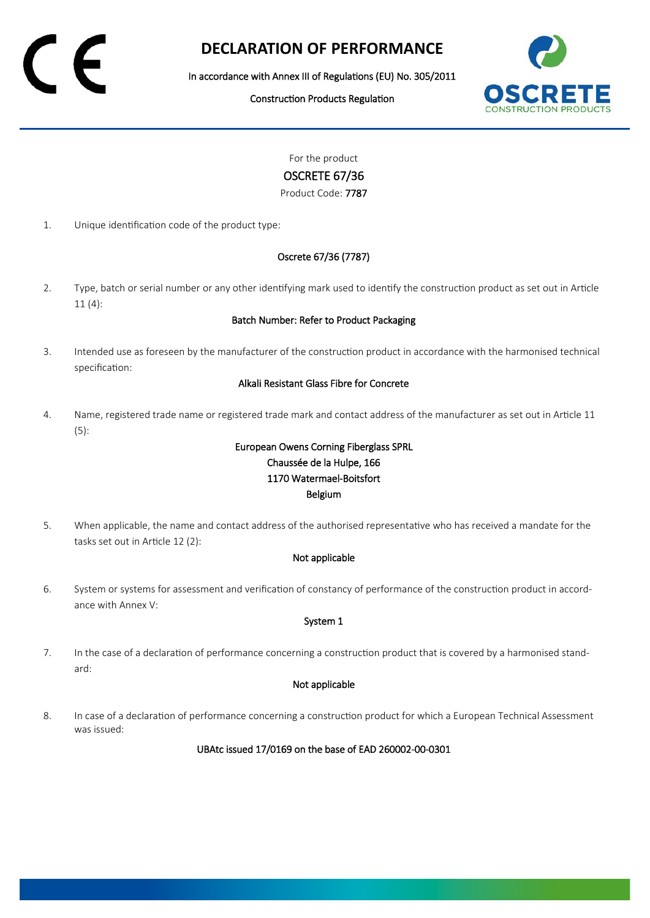# **DECLARATION OF PERFORMANCE**

In accordance with Annex III of Regulations (EU) No. 305/2011

Construction Products Regulation



For the product

## OSCRETE 67/36

Product Code: 7787

1. Unique identification code of the product type:

## Oscrete 67/36 (7787)

2. Type, batch or serial number or any other identifying mark used to identify the construction product as set out in Article 11 (4):

### Batch Number: Refer to Product Packaging

3. Intended use as foreseen by the manufacturer of the construction product in accordance with the harmonised technical specification:

### Alkali Resistant Glass Fibre for Concrete

4. Name, registered trade name or registered trade mark and contact address of the manufacturer as set out in Article 11 (5):

# European Owens Corning Fiberglass SPRL Chaussée de la Hulpe, 166 1170 Watermael-Boitsfort Belgium

5. When applicable, the name and contact address of the authorised representative who has received a mandate for the tasks set out in Article 12 (2):

### Not applicable

6. System or systems for assessment and verification of constancy of performance of the construction product in accordance with Annex V:

### System 1

7. In the case of a declaration of performance concerning a construction product that is covered by a harmonised standard:

### Not applicable

8. In case of a declaration of performance concerning a construction product for which a European Technical Assessment was issued:

UBAtc issued 17/0169 on the base of EAD 260002-00-0301